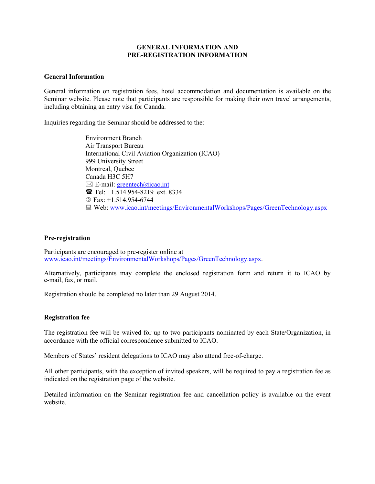## **GENERAL INFORMATION AND PRE-REGISTRATION INFORMATION**

#### **General Information**

General information on registration fees, hotel accommodation and documentation is available on the Seminar website. Please note that participants are responsible for making their own travel arrangements, including obtaining an entry visa for Canada.

Inquiries regarding the Seminar should be addressed to the:

Environment Branch Air Transport Bureau International Civil Aviation Organization (ICAO) 999 University Street Montreal, Quebec Canada H3C 5H7  $\boxtimes$  E-mail: [greentech@icao.int](mailto:greentech@icao.int) Tel: +1.514.954-8219 ext. 8334  $\textcircled{1}$  Fax: +1.514.954-6744 Web: [www.icao.int/meetings/EnvironmentalWorkshops/Pages/GreenTechnology.aspx](http://www.icao.int/meetings/EnvironmentalWorkshops/Pages/GreenTechnology.aspx)

#### **Pre-registration**

Participants are encouraged to pre-register online at [www.icao.int/meetings/EnvironmentalWorkshops/Pages/GreenTechnology.aspx.](http://www.icao.int/meetings/EnvironmentalWorkshops/Pages/GreenTechnology.aspx)

Alternatively, participants may complete the enclosed registration form and return it to ICAO by e-mail, fax, or mail.

Registration should be completed no later than 29 August 2014.

### **Registration fee**

The registration fee will be waived for up to two participants nominated by each State/Organization, in accordance with the official correspondence submitted to ICAO.

Members of States' resident delegations to ICAO may also attend free-of-charge.

All other participants, with the exception of invited speakers, will be required to pay a registration fee as indicated on the registration page of the website.

Detailed information on the Seminar registration fee and cancellation policy is available on the event website.